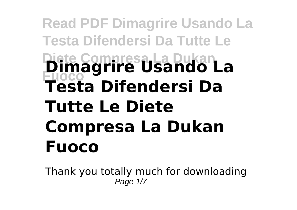## **Read PDF Dimagrire Usando La Testa Difendersi Da Tutte Le Diete Compresa La Dukan Fuoco Dimagrire Usando La Testa Difendersi Da Tutte Le Diete Compresa La Dukan Fuoco**

Thank you totally much for downloading Page  $1/7$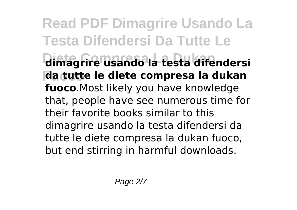**Read PDF Dimagrire Usando La Testa Difendersi Da Tutte Le Diete Compresa La Dukan dimagrire usando la testa difendersi Fuoco da tutte le diete compresa la dukan fuoco**.Most likely you have knowledge that, people have see numerous time for their favorite books similar to this dimagrire usando la testa difendersi da tutte le diete compresa la dukan fuoco, but end stirring in harmful downloads.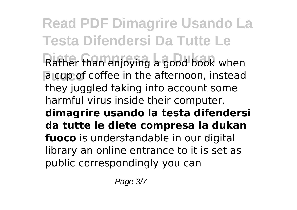**Read PDF Dimagrire Usando La Testa Difendersi Da Tutte Le** Rather than enjoying a good book when **Fuoco** a cup of coffee in the afternoon, instead they juggled taking into account some harmful virus inside their computer. **dimagrire usando la testa difendersi da tutte le diete compresa la dukan fuoco** is understandable in our digital library an online entrance to it is set as public correspondingly you can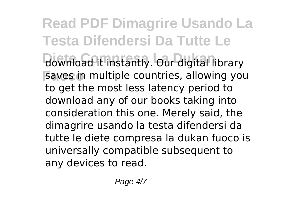**Read PDF Dimagrire Usando La Testa Difendersi Da Tutte Le** download it instantly. Our digital library **Fuoco** saves in multiple countries, allowing you to get the most less latency period to download any of our books taking into consideration this one. Merely said, the dimagrire usando la testa difendersi da tutte le diete compresa la dukan fuoco is universally compatible subsequent to any devices to read.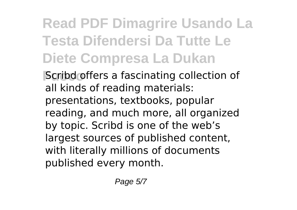## **Read PDF Dimagrire Usando La Testa Difendersi Da Tutte Le Diete Compresa La Dukan**

**Fuoco** Scribd offers a fascinating collection of all kinds of reading materials: presentations, textbooks, popular reading, and much more, all organized by topic. Scribd is one of the web's largest sources of published content, with literally millions of documents published every month.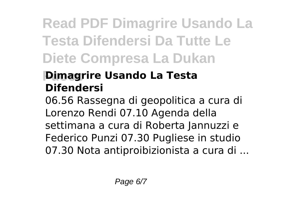## **Read PDF Dimagrire Usando La Testa Difendersi Da Tutte Le Diete Compresa La Dukan**

## **Fuoco Dimagrire Usando La Testa Difendersi**

06.56 Rassegna di geopolitica a cura di Lorenzo Rendi 07.10 Agenda della settimana a cura di Roberta Jannuzzi e Federico Punzi 07.30 Pugliese in studio 07.30 Nota antiproibizionista a cura di ...